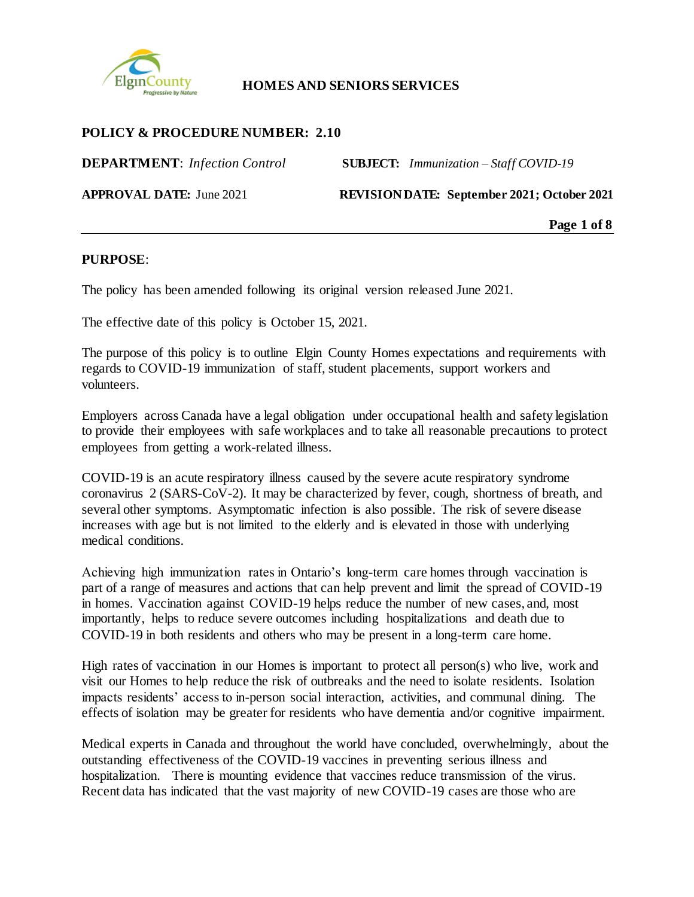

## **POLICY & PROCEDURE NUMBER: 2.10**

**DEPARTMENT**: *Infection Control* **SUBJECT:** *Immunization – Staff COVID-19* **APPROVAL DATE:** June 2021 **REVISION DATE: September 2021; October 2021 Page 1 of 8**

#### **PURPOSE**:

The policy has been amended following its original version released June 2021.

The effective date of this policy is October 15, 2021.

The purpose of this policy is to outline Elgin County Homes expectations and requirements with regards to COVID-19 immunization of staff, student placements, support workers and volunteers.

Employers across Canada have a legal obligation under occupational health and safety legislation to provide their employees with safe workplaces and to take all reasonable precautions to protect employees from getting a work-related illness.

COVID-19 is an acute respiratory illness caused by the severe acute respiratory syndrome coronavirus 2 (SARS-CoV-2). It may be characterized by fever, cough, shortness of breath, and several other symptoms. Asymptomatic infection is also possible. The risk of severe disease increases with age but is not limited to the elderly and is elevated in those with underlying medical conditions.

Achieving high immunization rates in Ontario's long-term care homes through vaccination is part of a range of measures and actions that can help prevent and limit the spread of COVID-19 in homes. Vaccination against COVID-19 helps reduce the number of new cases, and, most importantly, helps to reduce severe outcomes including hospitalizations and death due to COVID-19 in both residents and others who may be present in a long-term care home.

High rates of vaccination in our Homes is important to protect all person(s) who live, work and visit our Homes to help reduce the risk of outbreaks and the need to isolate residents. Isolation impacts residents' access to in-person social interaction, activities, and communal dining. The effects of isolation may be greater for residents who have dementia and/or cognitive impairment.

Medical experts in Canada and throughout the world have concluded, overwhelmingly, about the outstanding effectiveness of the COVID-19 vaccines in preventing serious illness and hospitalization. There is mounting evidence that vaccines reduce transmission of the virus. Recent data has indicated that the vast majority of new COVID-19 cases are those who are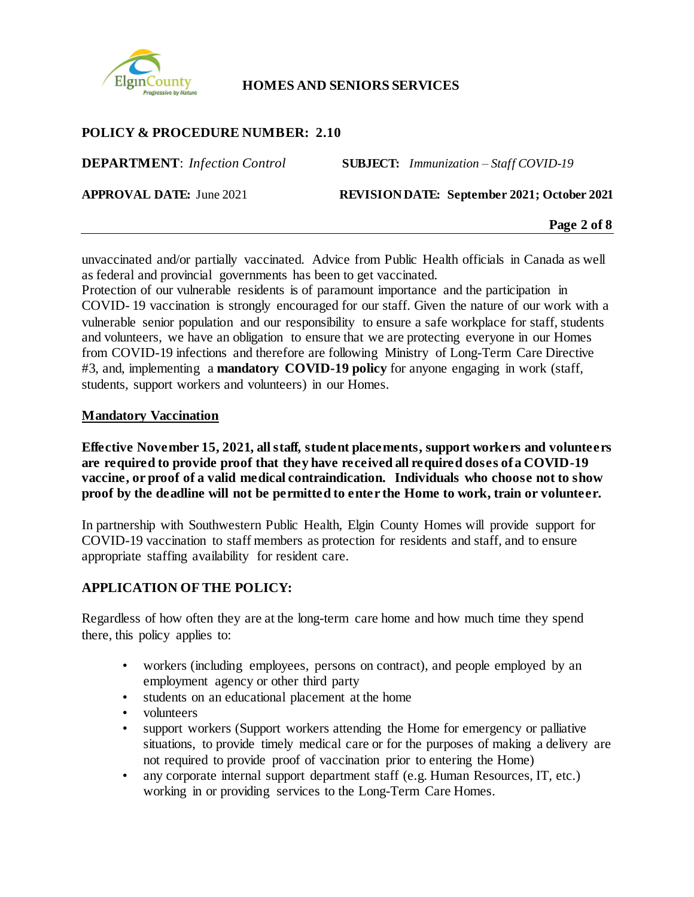

## **POLICY & PROCEDURE NUMBER: 2.10**

**DEPARTMENT**: *Infection Control* **SUBJECT:** *Immunization – Staff COVID-19* **APPROVAL DATE:** June 2021 **REVISION DATE: September 2021; October 2021 Page 2 of 8**

unvaccinated and/or partially vaccinated. Advice from Public Health officials in Canada as well as federal and provincial governments has been to get vaccinated.

Protection of our vulnerable residents is of paramount importance and the participation in COVID- 19 vaccination is strongly encouraged for our staff. Given the nature of our work with a vulnerable senior population and our responsibility to ensure a safe workplace for staff, students and volunteers, we have an obligation to ensure that we are protecting everyone in our Homes from COVID-19 infections and therefore are following Ministry of Long-Term Care Directive #3, and, implementing a **mandatory COVID-19 policy** for anyone engaging in work (staff, students, support workers and volunteers) in our Homes.

#### **Mandatory Vaccination**

**Effective November 15, 2021, all staff, student placements, support workers and volunteers are required to provide proof that they have received all required doses of a COVID-19 vaccine, or proof of a valid medical contraindication. Individuals who choose not to show proof by the deadline will not be permitted to enter the Home to work, train or volunteer.**

In partnership with Southwestern Public Health, Elgin County Homes will provide support for COVID-19 vaccination to staff members as protection for residents and staff, and to ensure appropriate staffing availability for resident care.

#### **APPLICATION OF THE POLICY:**

Regardless of how often they are at the long-term care home and how much time they spend there, this policy applies to:

- workers (including employees, persons on contract), and people employed by an employment agency or other third party
- students on an educational placement at the home
- volunteers
- support workers (Support workers attending the Home for emergency or palliative situations, to provide timely medical care or for the purposes of making a delivery are not required to provide proof of vaccination prior to entering the Home)
- any corporate internal support department staff (e.g. Human Resources, IT, etc.) working in or providing services to the Long-Term Care Homes.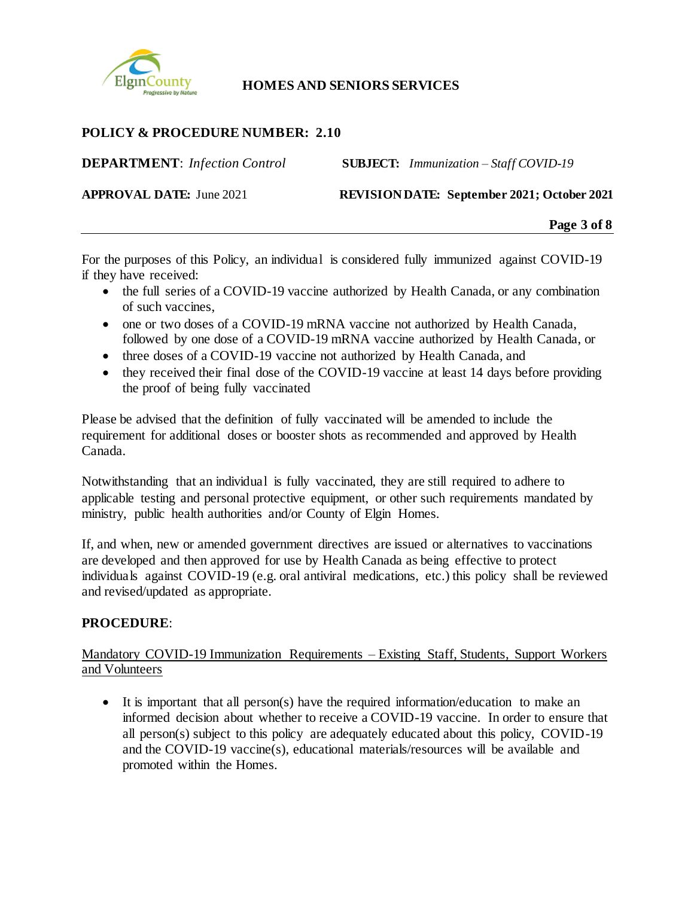

## **POLICY & PROCEDURE NUMBER: 2.10**

**DEPARTMENT**: *Infection Control* **SUBJECT:** *Immunization – Staff COVID-19*

**APPROVAL DATE:** June 2021 **REVISION DATE: September 2021; October 2021**

**Page 3 of 8**

For the purposes of this Policy, an individual is considered fully immunized against COVID-19 if they have received:

- the full series of a COVID-19 vaccine authorized by Health Canada, or any combination of such vaccines,
- one or two doses of a COVID-19 mRNA vaccine not authorized by Health Canada, followed by one dose of a COVID-19 mRNA vaccine authorized by Health Canada, or
- three doses of a COVID-19 vaccine not authorized by Health Canada, and
- they received their final dose of the COVID-19 vaccine at least 14 days before providing the proof of being fully vaccinated

Please be advised that the definition of fully vaccinated will be amended to include the requirement for additional doses or booster shots as recommended and approved by Health Canada.

Notwithstanding that an individual is fully vaccinated, they are still required to adhere to applicable testing and personal protective equipment, or other such requirements mandated by ministry, public health authorities and/or County of Elgin Homes.

If, and when, new or amended government directives are issued or alternatives to vaccinations are developed and then approved for use by Health Canada as being effective to protect individuals against COVID-19 (e.g. oral antiviral medications, etc.) this policy shall be reviewed and revised/updated as appropriate.

## **PROCEDURE**:

Mandatory COVID-19 Immunization Requirements – Existing Staff, Students, Support Workers and Volunteers

• It is important that all person(s) have the required information/education to make an informed decision about whether to receive a COVID-19 vaccine. In order to ensure that all person(s) subject to this policy are adequately educated about this policy, COVID-19 and the COVID-19 vaccine(s), educational materials/resources will be available and promoted within the Homes.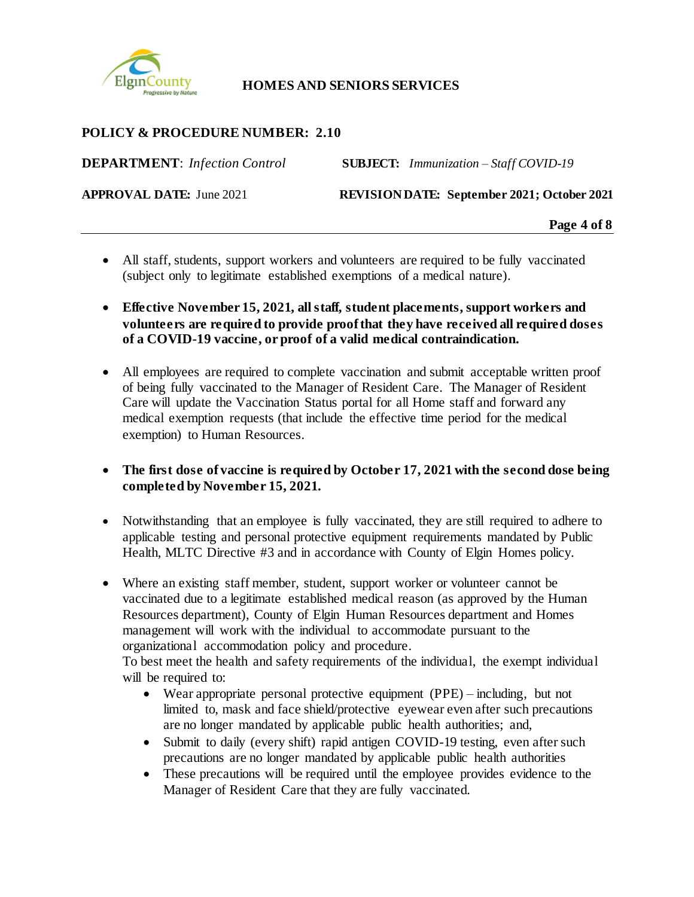

## **POLICY & PROCEDURE NUMBER: 2.10**

**DEPARTMENT**: *Infection Control* **SUBJECT:** *Immunization – Staff COVID-19* **APPROVAL DATE:** June 2021 **REVISION DATE: September 2021; October 2021 Page 4 of 8**

- All staff, students, support workers and volunteers are required to be fully vaccinated (subject only to legitimate established exemptions of a medical nature).
- **Effective November 15, 2021, all staff, student placements, support workers and volunteers are required to provide proof that they have received all required doses of a COVID-19 vaccine, or proof of a valid medical contraindication.**
- All employees are required to complete vaccination and submit acceptable written proof of being fully vaccinated to the Manager of Resident Care. The Manager of Resident Care will update the Vaccination Status portal for all Home staff and forward any medical exemption requests (that include the effective time period for the medical exemption) to Human Resources.
- **The first dose of vaccine is required by October 17, 2021 with the second dose being completed by November 15, 2021.**
- Notwithstanding that an employee is fully vaccinated, they are still required to adhere to applicable testing and personal protective equipment requirements mandated by Public Health, MLTC Directive #3 and in accordance with County of Elgin Homes policy.
- Where an existing staff member, student, support worker or volunteer cannot be vaccinated due to a legitimate established medical reason (as approved by the Human Resources department), County of Elgin Human Resources department and Homes management will work with the individual to accommodate pursuant to the organizational accommodation policy and procedure.

To best meet the health and safety requirements of the individual, the exempt individual will be required to:

- Wear appropriate personal protective equipment (PPE) including, but not limited to, mask and face shield/protective eyewear even after such precautions are no longer mandated by applicable public health authorities; and,
- Submit to daily (every shift) rapid antigen COVID-19 testing, even after such precautions are no longer mandated by applicable public health authorities
- These precautions will be required until the employee provides evidence to the Manager of Resident Care that they are fully vaccinated.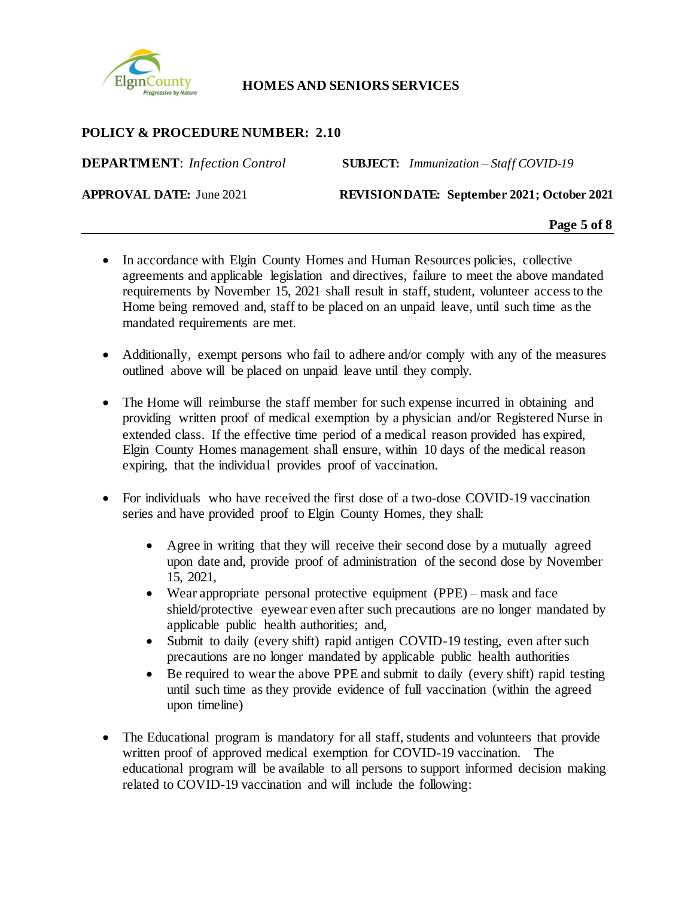

## **POLICY & PROCEDURE NUMBER: 2.10**

**DEPARTMENT**: *Infection Control* **SUBJECT:** *Immunization – Staff COVID-19* **APPROVAL DATE:** June 2021 **REVISION DATE: September 2021; October 2021 Page 5 of 8**

- In accordance with Elgin County Homes and Human Resources policies, collective agreements and applicable legislation and directives, failure to meet the above mandated requirements by November 15, 2021 shall result in staff, student, volunteer access to the Home being removed and, staff to be placed on an unpaid leave, until such time as the mandated requirements are met.
- Additionally, exempt persons who fail to adhere and/or comply with any of the measures outlined above will be placed on unpaid leave until they comply.
- The Home will reimburse the staff member for such expense incurred in obtaining and providing written proof of medical exemption by a physician and/or Registered Nurse in extended class. If the effective time period of a medical reason provided has expired, Elgin County Homes management shall ensure, within 10 days of the medical reason expiring, that the individual provides proof of vaccination.
- For individuals who have received the first dose of a two-dose COVID-19 vaccination series and have provided proof to Elgin County Homes, they shall:
	- Agree in writing that they will receive their second dose by a mutually agreed upon date and, provide proof of administration of the second dose by November 15, 2021,
	- Wear appropriate personal protective equipment (PPE) mask and face shield/protective eyewear even after such precautions are no longer mandated by applicable public health authorities; and,
	- Submit to daily (every shift) rapid antigen COVID-19 testing, even after such precautions are no longer mandated by applicable public health authorities
	- Be required to wear the above PPE and submit to daily (every shift) rapid testing until such time as they provide evidence of full vaccination (within the agreed upon timeline)
- The Educational program is mandatory for all staff, students and volunteers that provide written proof of approved medical exemption for COVID-19 vaccination. The educational program will be available to all persons to support informed decision making related to COVID-19 vaccination and will include the following: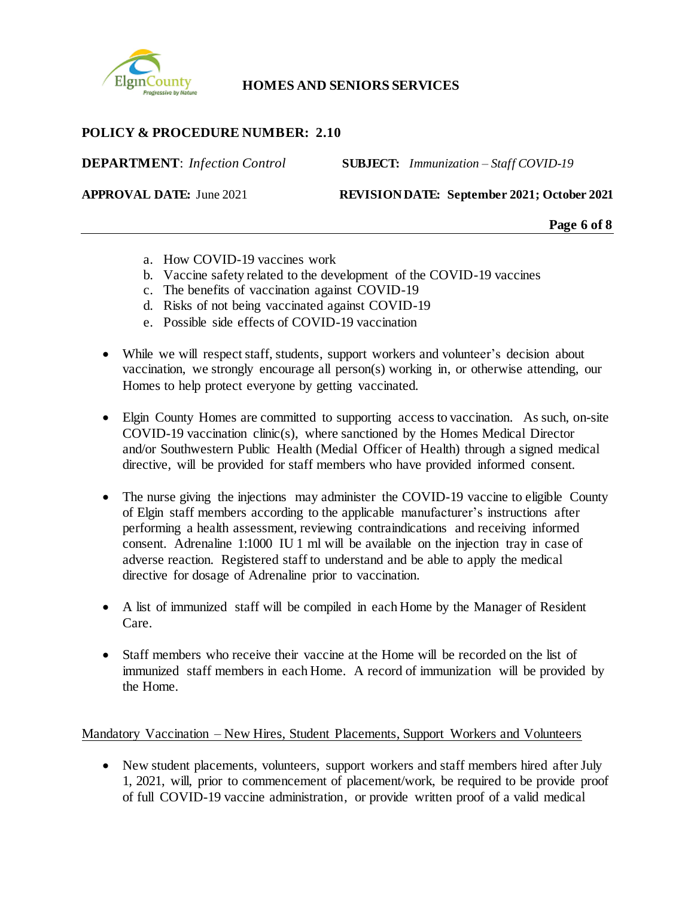

## **POLICY & PROCEDURE NUMBER: 2.10**

**DEPARTMENT**: *Infection Control* **SUBJECT:** *Immunization – Staff COVID-19*

**APPROVAL DATE:** June 2021 **REVISION DATE: September 2021; October 2021**

**Page 6 of 8**

- a. How COVID-19 vaccines work
- b. Vaccine safety related to the development of the COVID-19 vaccines
- c. The benefits of vaccination against COVID-19
- d. Risks of not being vaccinated against COVID-19
- e. Possible side effects of COVID-19 vaccination
- While we will respect staff, students, support workers and volunteer's decision about vaccination, we strongly encourage all person(s) working in, or otherwise attending, our Homes to help protect everyone by getting vaccinated.
- Elgin County Homes are committed to supporting access to vaccination. As such, on-site COVID-19 vaccination clinic(s), where sanctioned by the Homes Medical Director and/or Southwestern Public Health (Medial Officer of Health) through a signed medical directive, will be provided for staff members who have provided informed consent.
- The nurse giving the injections may administer the COVID-19 vaccine to eligible County of Elgin staff members according to the applicable manufacturer's instructions after performing a health assessment, reviewing contraindications and receiving informed consent. Adrenaline 1:1000 IU 1 ml will be available on the injection tray in case of adverse reaction. Registered staff to understand and be able to apply the medical directive for dosage of Adrenaline prior to vaccination.
- A list of immunized staff will be compiled in each Home by the Manager of Resident Care.
- Staff members who receive their vaccine at the Home will be recorded on the list of immunized staff members in each Home. A record of immunization will be provided by the Home.

#### Mandatory Vaccination – New Hires, Student Placements, Support Workers and Volunteers

• New student placements, volunteers, support workers and staff members hired after July 1, 2021, will, prior to commencement of placement/work, be required to be provide proof of full COVID-19 vaccine administration, or provide written proof of a valid medical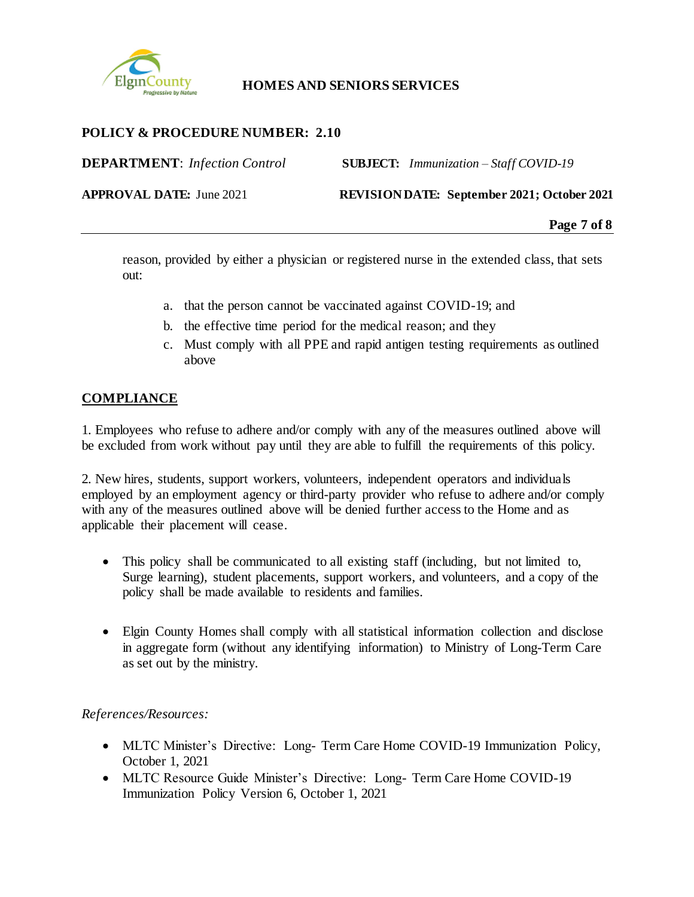

## **POLICY & PROCEDURE NUMBER: 2.10**

**DEPARTMENT**: *Infection Control* **SUBJECT:** *Immunization – Staff COVID-19*

**APPROVAL DATE:** June 2021 **REVISION DATE: September 2021; October 2021**

**Page 7 of 8**

reason, provided by either a physician or registered nurse in the extended class, that sets out:

- a. that the person cannot be vaccinated against COVID-19; and
- b. the effective time period for the medical reason; and they
- c. Must comply with all PPE and rapid antigen testing requirements as outlined above

# **COMPLIANCE**

1. Employees who refuse to adhere and/or comply with any of the measures outlined above will be excluded from work without pay until they are able to fulfill the requirements of this policy.

2. New hires, students, support workers, volunteers, independent operators and individuals employed by an employment agency or third-party provider who refuse to adhere and/or comply with any of the measures outlined above will be denied further access to the Home and as applicable their placement will cease.

- This policy shall be communicated to all existing staff (including, but not limited to, Surge learning), student placements, support workers, and volunteers, and a copy of the policy shall be made available to residents and families.
- Elgin County Homes shall comply with all statistical information collection and disclose in aggregate form (without any identifying information) to Ministry of Long-Term Care as set out by the ministry.

## *References/Resources:*

- MLTC Minister's Directive: Long- Term Care Home COVID-19 Immunization Policy, October 1, 2021
- MLTC Resource Guide Minister's Directive: Long- Term Care Home COVID-19 Immunization Policy Version 6, October 1, 2021